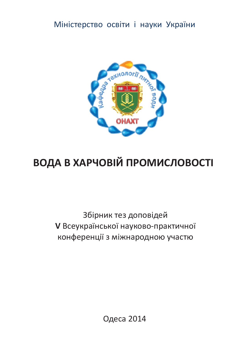Міністерство освіти і науки України



# ВОДА В ХАРЧОВІЙ ПРОМИСЛОВОСТІ

Збірник тез доповідей **V Всеукраїнської науково-практичної** конференції з міжнародною участю

Одеса 2014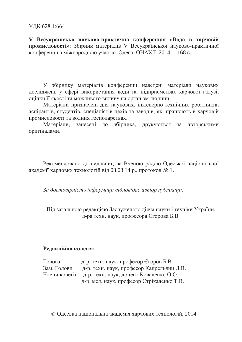**V** Всеукраїнська науково-практична конференція «Вода в харчовій промисловості»: Збірник матеріалів V Всеукраїнської науково-практичної конференції з міжнародною участю. Одеса: ОНАХТ, 2014. – 168 с.

У збірнику матеріалів конференції наведені матеріали наукових досліджень у сфері використання води на підприємствах харчової галузі. оцінки її якості та можливого впливу на організм людини.

Матеріали призначені для наукових, інженерно-технічних робітників, аспірантів, студентів, спеціалістів цехів та заводів, які працюють в харчовій промисловості та водних господарствах.

Матеріали, занесені до збірника, друкуються за авторськими оригіналами.

Рекомендовано до видавництва Вченою радою Одеської національної академії харчових технологій від 03.03.14 р., протокол № 1.

За достовірність інформації відповідає автор публікації.

Під загальною редакцією Заслуженого діяча науки і техніки України, д-ра техн. наук, професора Єгорова Б.В.

## Редакційна колегія:

 $\Gamma$ олова д-р. техн. наук, професор  $\epsilon$ горов Б.В. Зам. Голови д-р. техн. наук, професор Капрельянц Л.В. Члени колегії д-р. техн. наук, доцент Коваленко О.О. д-р. мед. наук, професор Стрікаленко Т.В.

© Одеська національна академія харчових технологій, 2014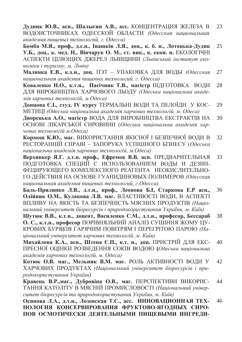Дудник Ю.В., асп., Шалыгин А.В., асс. КОНЦЕНТРАЦИЯ ЖЕЛЕЗА В ВОДОИСТОЧНИКАХ ОДЕССКОЙ ОБЛАСТИ (Одесская национальная *ɚɤɚɞɟɦɢɹɩɢɳɟɜɵɯɬɟɯɧɨɥɨɝɢɣɝɈɞɟɫɫɚ* 23

Бомба М.Я., проф., д.с.н., Івашків Л.Я., доц., к. б. н., Лотоцька-Дудик **У.Б., доц., к. мед. Н., Вівчарук О. М., ст. вик., к. екон. н.** ЕКОЛОГІЧНІ АСПЕКТИ ЦІЛЮЩИХ ДЖЕРЕЛ ЛЬВІЩИНИ (Львівський інститут еко- $HOMiku$  *i* mypuзмy, м. Львів) 25

Малинка Е.В., к.х.н., доц. ПЭТ – УПАКОВКА ДЛЯ ВОДЫ (Одесская **национальная академия пищевых технологий, г. Одесса)** 27

Коваленко Н.О., к.т.н., Пасічник Т.В., магістр ПІДГОТОВКА ВОДИ ДЛЯ ВИРОБНИЦТВА ХАРЧОВОГО ЛЬОДУ (Одеська національна академія харчових технологій, м. Одеса) 28

Донцова Є.І., студ. IV курсу ТЕРМАЛЬНІ ВОДИ ТА ПЕЛОЇДИ У КОС-МЕТИЦІ *(Одеська національна академія харчових технологій*, м. Одеса) 29

Дворецька А.О., магістр ВОДА ДЛЯ ВИРОБНИЦТВА ЕКСТРАКТІВ НА ОСНОВІ ЛІКАРСЬКОЇ СИРОВИНИ (Одеська національна академія харчових технологій м. Одеса) 30

Кормош К.Ю., маг. ВИКОРИСТАННЯ ЯКІСНОЇ І БЕЗПЕЧНОЇ ВОДИ В РЕСТОРАННІЙ СПРАВІ – ЗАПОРУКА УСПІШНОГО БІЗНЕСУ (Одеська **національна академія харчових технологій, м. Одеса)** 32

Верхивкер Я.Г. д.т.н. проф., Ефремов В.В. асп. ПРЕДВАРИТЕЛЬНАЯ ПОДГОТОВКА СПЕЦИЙ С ИСПОЛЬЗОВАНИЕМ ВОДЫ И ДЕЗИН-ФЕЦИРУЮЩЕГО КОМПЛЕКСНОГО РЕАГЕНТА НЕОКИСЛИТЕЛЬНО-ȽɈȾȿɃɋɌȼɂəɇȺɈɋɇɈȼȿȽɍȺɇɂȾɂɇɈȼɕɏɉɈɅɂɆȿɊɈȼ*Ɉɞɟɫɫɤɚɹ* **национальная академия пищевых технологий, г. Одесса)** 33

Баль-Прилипко Л.В., д.т.н., проф., Леонова Б.I, Старкова Е.Р асп., Олійник О.М., Кулакова Л.В. маг. ВЛАСТИВОСТІ ВОДИ, В АСПЕКТІ ВПЛИВУ НА ЯКІСТЬ ТА БЕЗПЕЧНІСТЬ МЯСНИХ ПРОДУКТІВ (Національний університет біоресурсів і природокористування України, м. Київ) 36

Шутюк В.В., к.т.н., доцент, Василенко С.М., д.т.н., професор, Бессараб **О. С., к.т.н., професор ПОРІВНЯЛЬНИЙ АНАЛІЗ СУШІННЯ ЖОМУ ЦУ-**КРОВИХ БУРЯКІВ ГАРЯЧИМ ПОВІТРЯМ І ПЕРЕГРІТОЮ ПАРОЮ (Наиіональний університет харчових технологій, м. Київ) 38

Михайлова К.А., асп., Штепа Є.П., к.т. н., доц. ПРИСТРІЙ ДЛЯ ЕКС-ПРЕСНОЇ ОЦІНКИ РОЗВЕДЕННЯ СОКІВ ВОДОЮ (Одеська національна  $a$ кадемія харчових технологій, м. Одеса) 40

Котюк О.В. маг., Мельник В.М. маг. РОЛЬ АКТИВНОСТІ ВОДИ У ХАРЧОВИХ ПРОДУКТАХ (Національний університет біоресурсів і при $po$ докористування України) 42

Кравець В.Р.,маг., Дубровіна О.В., маг. ПЕРСПЕКТИВИ ВИКОРИС-ТАННЯ КАТОЛІТУ В МЯСНІЙ ПРОМИСЛОВОСТІ (Наиіональний універcumem біоресурсів та природокористування України, м. Київ) 44

Осипова Л.А., д.т.н., Лозовская Т.С., асс. ИННОВАЦИОННАЯ ТЕХ-НОЛОГИЯ КОНСЕРВИРОВАНИЯ ФРУКТОВО-ЯГОДНЫХ СИРО-ПОВ ОСМОТИЧЕСКИ ДЕЯТЕЛЬНЫМИ ПИЩЕВЫМИ ИНГРЕДИ-46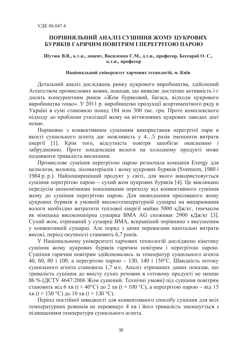## ПОРІВНЯЛЬНИЙ АНАЛІЗ СУШІННЯ ЖОМУ ЦУКРОВИХ БУРЯКІВ ГАРЯЧИМ ПОВІТРЯМ І ПЕРЕГРІТОЮ ПАРОЮ

Шутюк В.В., к.т.н., доцент, Василенко С.М., д.т.н., професор, Бессараб О. С., к.т.н., професор

#### Національний університет харчових технологій, м. Київ

Детальний аналіз досліджень ринку цукрового виробництва, здійснений Агентством промислових новин, показав, що виявляє достатню активність і є досить конкурентним ринок «Жом буряковий, багаса, відходи цукрового виробництва тощо». У 2011 р. виробництво продукції асортиментного ряду в Україні в сумі становило понад 184 млн 300 тис. грн. Проте комплексного підходу до проблеми утилізації жому на вітчизняних цукрових заводах досі немає.

Порівняно з конвективним сушінням використання перегрітої пари в якості сушильного агента дає можливість у 4...5 разів зменшити витрати енергії [1]. Крім того, відсутність повітря запобігає окисненню і забрудненню. Проте конденсація вологи на холодному продукті може подовжити тривалість висихання.

Промислове сушіння перегрітою парою розпочала компанія Exergy для целюлози, волокна, лісоматеріалів і жому цукрових буряків (Svensson, 1980 і 1984 p. p.). Найпоширеніший продукт у світі, для якого використовується сушіння перегрітою парою – сухий жом цукрових буряків [4]. Це викликано передусім економічними показниками переходу від конвективного сушіння жому до сушіння перегрітою парою. Для зневоднення пресованого жому цукрових буряків в умовній високотемпературній сушарці на випарювання вологи необхідно витратити теплової енергії майже 5000 кДж/кг, тимчасом як німецька високонапірна сушарка ВМА АС споживає 2900 кДж/кг [3]. Сухий жом, отриманий у сушарці ВМА, яскравіший порівняно з висушеним у конвективній сушарці. Але поряд з цими перевагами капітальні витрати високі, період окупності становить 6,7 років.

У Національному університеті харчових технологій досліджено кінетику сушіння жому цукрових буряків гарячим повітрям і перегрітою парою. Сушіння гарячим повітрям здійснювались за температур сушильного агента 40, 60, 80 i 100, a перегрітою парою – 130, 140 i 150°С. Швидкість потоку сушильного агента становила 1,7 м/с. Аналіз отриманих даних показав, що тривалість сушіння до вмісту сухих речовин в готовому продукті не менше 86 % (ДСТУ 4647:2006 Жом сушений. Технічні умови) під сушіння повітрям становить від 6 хв ( $t = 40^{\circ}$ C) до 2 хв ( $t = 100^{\circ}$ C), а перегрітою парою – від 15 <u>xв</u> ( $t = 150$  °C) до 10 xв ( $t = 130$  °C).

Період постійної швидкості для конвективного способу сушіння для всіх температурних режимів не перевищує 4 хв і його тривалість зменшується з підвищенням температури сушильного агента.